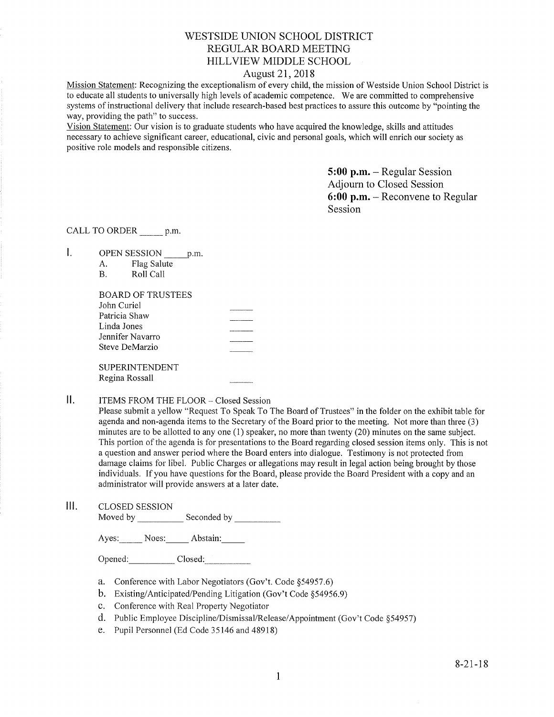# WESTSIDE UNION SCHOOL DISTRICT REGULAR BOARD MEETING HILLVIEW MIDDLE SCHOOL

## August 21,2018

Mission Statement: Recognizing the exceptionalism of every child, the mission of Westside Union School District is to educate all students to universally high levels of academic competence. We are committed to comprehensive systems of instructional delivery that include research-based best practices to assure this outcome by "pointing the way, providing the path" to success.

Vision Statement: Our vision is to graduate students who have acquired the knowledge, skills and attitudes necessary to achieve significant career, educational, civic and personal goals, which will enrich our society as positive role models and responsible citizens.

> 5:00 p.m. - Regular Session Adjoum to Closed Session 6:00 p.m. - Reconvene to Regular Session

CALL TO ORDER p.m.

L. OPEN SESSION p.m.

| А.        | Flag Salute |
|-----------|-------------|
| <b>B.</b> | Roll Call   |

| BOARD OF TRUSTEES |  |
|-------------------|--|
| John Curiel       |  |
| Patricia Shaw     |  |
| Linda Jones       |  |
| Jennifer Navarro  |  |
| Steve DeMarzio    |  |
|                   |  |
| SUPERINTENDENT    |  |
| Regina Rossall    |  |

#### $II.$ ITEMS FROM THE FLOOR - Closed Session

Please submit a yellow "Request To Speak To The Board of Trustees" in the folder on the exhibit table for agenda and non-agenda items to the Secretary of the Board prior to the meeting. Not more than three (3) minutes are to be allotted to any one (l) speaker, no more than twenty (20) minutes on the same subject. This portion of the agenda is for presentations to the Board regarding closed session items only. This is not a question and answer period where the Board enters into dialogue. Testimony is not protected from damage claims for libel. Public Charges or allegations may result in legal action being brought by those individuals. If you have questions for the Board, please provide the Board President with a copy and an administrator will provide answers at a later date.

lll. cLosED sESSroN Moved by Seconded by

Ayes: Noes: Abstain:

Opened: Closed:

- a. Conference with Labor Negotiators (Gov't. Code \$54957.6) b. Existing/Anticipated/Pending Litigation (Gov't Code \$54956.9)
- 
- c. Conference with Real Property Negotiator
- d. Public Employee Discipline/Dismissal/Release/Appointment (Gov't Code §54957)
- e. Pupil Personnel (Ed Code 35146 and 48918)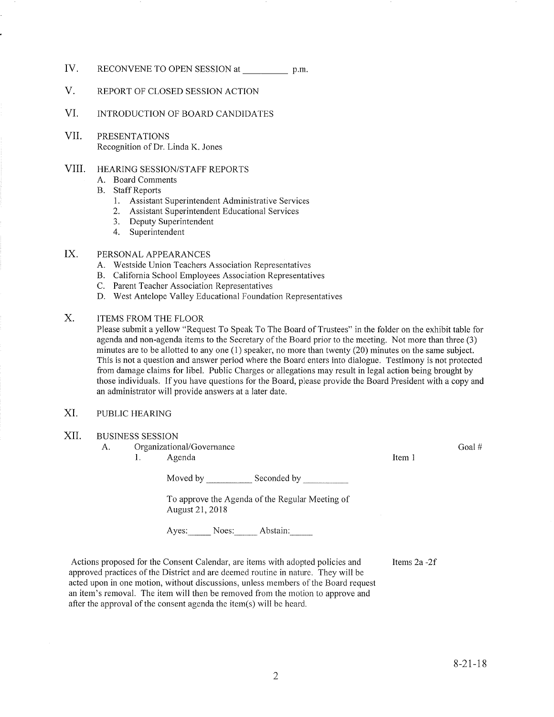- IV. RECONVENE TO OPEN SESSION at p.m.
- V. REPORT OF CLOSED SESSION ACTION
- VI. INTRODUCTION OF BOARD CANDIDATES
- VII PRESENTATIONS Recognition of Dr. Linda K. Jones

#### HEARING SESSION/STAFF REPORTS VIII.

- A. Board Comments
- B. Staff Reports
	- 1. Assistant Superintendent Administrative Services<br>2. Assistant Superintendent Educational Services
	-
	- 3. Deputy Superintendent
	- 4. Superintendent

#### PERSONAL APPEARANCES IX

- A. Westside Union Teachers Association Representatives
- B. California School Employees Association Representatives C. Parent Teacher Association Representatives D. West Antelope Valley Educational Foundation Representatives
- 
- 
- ITEMS FROM THE FLOOR X.

Please submit a yellow "Request To Speak To The Board of Trustees" in the folder on the exhibit table for agenda and non-agenda items to the Secretary of the Board prior to the meeting. Not more than three (3) minutes are to be allotted to any one  $(1)$  speaker, no more than twenty  $(20)$  minutes on the same subject. This is not a question and answer period where the Board enters into dialogue. Testimony is not protected from damage claims for libel. Public Charges or allegations may result in legal action being brought by those individuals. If you have questions for the Board, please provide the Board President with a copy and an administrator will provide answers at a later date.

- XI. PUBLIC HEARING
- XII. BUSINESS SESSION
	- A. Organizational/Governance l. Agenda Item 1
		-

Moved by Seconded by Seconded by

To approve the Agenda of the Regular Meeting of August 21,2018

Ayes: Noes: Abstain:

Items 2a -2f

Actions proposed for the Consent Calendar, are items with adopted policies and approved practices of the District and are deemed routine in nature. They will be acted upon in one motion, without discussions, unless members of the Board request an item's removal. The item will then be removed from the motion to approve and after the approval of the consent agenda the itern(s) will be heard.

Goal #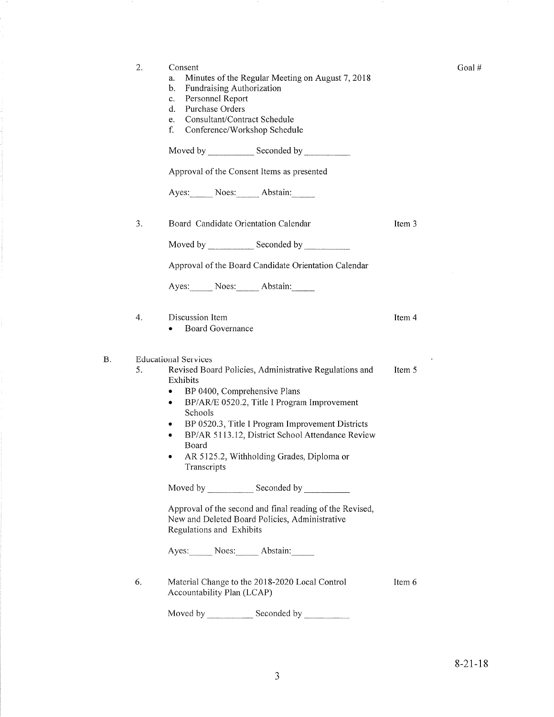|    | 2.               | Consent<br>Minutes of the Regular Meeting on August 7, 2018<br>a.<br>Fundraising Authorization<br>b.<br>Personnel Report<br>c.<br>Purchase Orders<br>d.<br>Consultant/Contract Schedule<br>e.<br>f.<br>Conference/Workshop Schedule                                                                                                                                                                      |        |
|----|------------------|----------------------------------------------------------------------------------------------------------------------------------------------------------------------------------------------------------------------------------------------------------------------------------------------------------------------------------------------------------------------------------------------------------|--------|
|    |                  | Moved by Seconded by Seconded by                                                                                                                                                                                                                                                                                                                                                                         |        |
|    |                  | Approval of the Consent Items as presented                                                                                                                                                                                                                                                                                                                                                               |        |
|    |                  | Ayes: Noes: Abstain:                                                                                                                                                                                                                                                                                                                                                                                     |        |
|    | 3.               | Board Candidate Orientation Calendar                                                                                                                                                                                                                                                                                                                                                                     | Item 3 |
|    |                  |                                                                                                                                                                                                                                                                                                                                                                                                          |        |
|    |                  | Approval of the Board Candidate Orientation Calendar                                                                                                                                                                                                                                                                                                                                                     |        |
|    |                  | Ayes: Noes: Abstain:                                                                                                                                                                                                                                                                                                                                                                                     |        |
|    | $\overline{4}$ . | Discussion Item<br><b>Board Governance</b>                                                                                                                                                                                                                                                                                                                                                               | Item 4 |
| Β. | 5.               | <b>Educational Services</b><br>Revised Board Policies, Administrative Regulations and<br>Exhibits<br>BP 0400, Comprehensive Plans<br>٠<br>BP/AR/E 0520.2, Title I Program Improvement<br>٠<br>Schools<br>BP 0520.3, Title I Program Improvement Districts<br>٠<br>BP/AR 5113.12, District School Attendance Review<br>٠<br>Board<br>AR 5125.2, Withholding Grades, Diploma or<br>٠<br><b>Transcripts</b> | Item 5 |
|    |                  | Approval of the second and final reading of the Revised,<br>New and Deleted Board Policies, Administrative<br>Regulations and Exhibits                                                                                                                                                                                                                                                                   |        |
|    |                  | Ayes: Noes: Abstain:                                                                                                                                                                                                                                                                                                                                                                                     |        |
|    | 6.               | Material Change to the 2018-2020 Local Control<br>Accountability Plan (LCAP)                                                                                                                                                                                                                                                                                                                             | Item 6 |
|    |                  | Moved by<br>Seconded by                                                                                                                                                                                                                                                                                                                                                                                  |        |

Goal#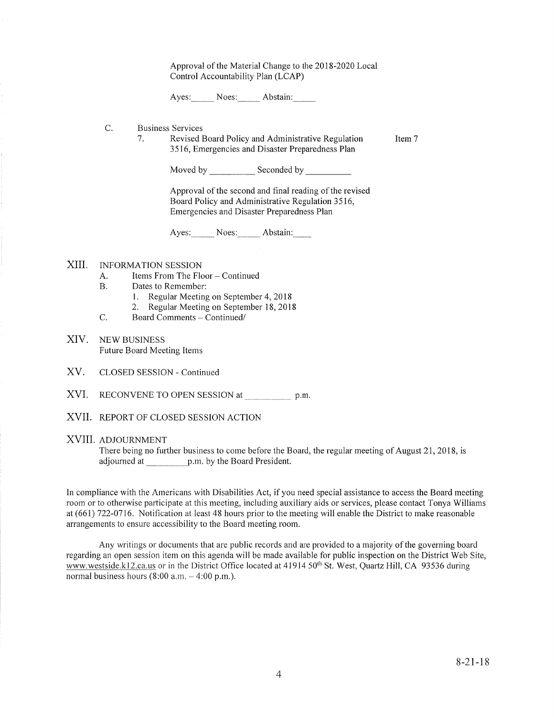Approval of the Material Change to the 2018-2020 Local Control Accountability Plan (LCAP)

Ayes: Noes: Abstain:

- C Business Services
	- 1. Revised Board Policy and Administrative Regulation 3516, Emergencies and Disaster Preparedness Plan Item 7

Moved by Seconded by Seconded by Seconded by Seconded by Seconded by Seconded by Seconded by Seconded by Seconded by Seconded by Seconded by Seconded by Seconded by Seconded by Seconded by Seconded by Seconded by Seconded

Approval of the second and final reading of the revised Board Policy and Administrative Regulation 3516, Emergencies and Disaster Preparedness Plan

Ayes: Noes: Abstain:

#### XIII INFORMATION SESSION

- A. Items From The Floor Continued<br>B. Dates to Remember:
- -
- 1. Regular Meeting on September 4, 2018<br>2. Regular Meeting on September 18, 2018<br>C. Board Comments Continued/
- 
- XIV. NEw BUSINESS Future Board Meeting Items
- XV. CLOSED SESSION - Continued
- XVI. RECONVENE TO OPEN SESSION at p.m
- XVII. REPORT OF CLOSED SESSION ACTION

#### XVIII. ADJoURNMENT

There being no further business to come before the Board, the regular meeting of August 21, 2018, is adjourned at \_\_\_\_\_\_\_\_\_\_\_ p.m. by the Board President.

In compliance with the Americans with Disabilities Act, if you need special assistance to access the Board meeting room or to otherwise participate at this meeting, including auxiliary aids or services, please contact Tonya Williams at (661) 122-0116. Notification at least 48 hours prior to the meeting will enable the District to make reasonable arrangements to ensure accessibility to the Board meeting room.

Any writings or documents that are public records and are provided to a majority of the governing board regarding an open session item on this agenda will be made available for public inspection on the District Web Site, www.westside.k12.ca.us or in the District Office located at 41914 50<sup>th</sup> St. West, Quartz Hill, CA 93536 during normal business hours  $(8:00$  a.m.  $-4:00$  p.m.).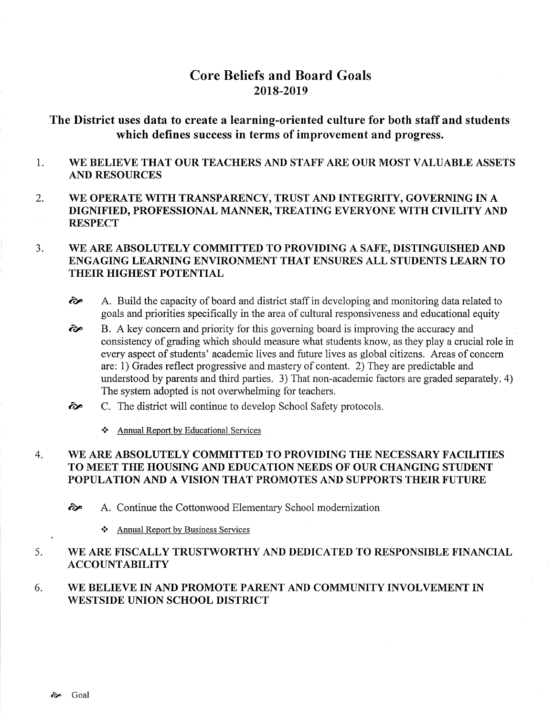# Core Beliefs and Board Goals 2018-2019

The District uses data to create a learning-oriented culture for both staff and students which defïnes success in terms of improvement and progress.

- 1 WE BELIEVE THAT OUR TEACHERS AND STAFF ARE OUR MOST VALUABLE ASSETS AND RESOURCES
- 2. WE OPERATE WITH TRANSPARENCY, TRUST AND INTEGRTTY, GOVERNING IN A DIGNIFIED, PROFESSIONAL MANNER, TREATING EVERYONE WITH CIVILITY AND **RESPECT**

#### WE ARE ABSOLUTELY COMMITTED TO PROVIDING A SAFE, DISTINGUISHED AND ENGAGING LEARNING ENVIRONMENT THAT ENSURES ALL STUDENTS LEARN TO THEIR HIGHEST POTENTIAL 3.

- $\leftrightarrow$  A. Build the capacity of board and district staff in developing and monitoring data related to goals and priorities specifically in the area of cultural responsiveness and educational equity
- B. A key concern and priority for this governing board is improving the accuracy and consistency of grading which should measure what students know, as they play a crucial role in every aspect of students' academic lives and future lives as global citizens. Areas of concern are: 1) Grades reflect progressive and mastery of content. 2) They are predictable and understood by parents and third parties. 3) That non-academic factors are graded separately. 4) The system adopted is not overwhelming for teachers. èp
- C. The district will continue to develop School Safety protocols. ôp
	- \* Annual Report by Educational Services

#### WE ARE ABSOLUTELY COMMITTED TO PROVIDING THE NECESSARY FACILITIES TO MEET THE HOUSING AND EDUCATION NEEDS OF OUR CHANGING STUDENT POPULATION AND A VISION THAT PROMOTES AND SUPPORTS THEIR FUTURE 4

- ôP A. Continue the Cottonwood Elementary School modernization
	- \* Annual Report by Business Services

#### WE ARE FISCALLY TRUSTWORTHY AND DEDICATED TO RESPONSIBLE FINANCIAL ACCOUNTABILITY 5

#### WE BELIEVE IN AND PROMOTE PARENT AND COMMUNITY INVOLVEMENT IN WESTSIDE UNION SCHOOL DISTRICT 6.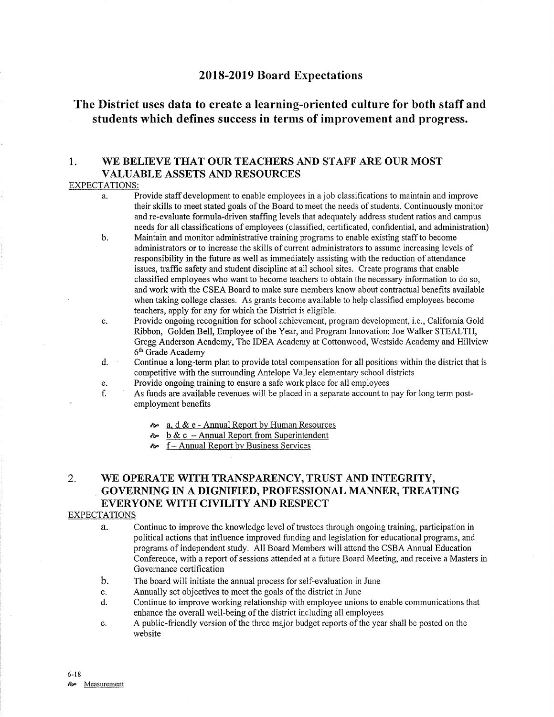## 2018-2019 Board Expectations

# The District uses data to create a learning-oriented culture for both staff and students which defines success in terms of improvement and progress.

## 1. WE BELIEVE THAT OUR TEACHERS AND STAFF ARE OUR MOST VALUABLE ASSETS AND RESOURCES

#### EXPECTATIONS:

- a. Provide staff development to enable employees in a job classifications to maintain and improve their skills to meet stated goals of the Board to meet the needs of students. Continuously monitor and re-evaluate formula-driven staffing levels that adequately address student ratios and campus needs for all classifications of employees (classified, certificated, confidential, and administration)
- b. Maintain and monitor administrative training programs to enable existing staff to become administrators or to increase the skills of current administrators to assume increasing levels of responsibility in the future as well as immediately assisting with the reduction of attendance issues, traffic safety and student discipline at all school sites. Create programs that enable classihed employees who want to become teachers to obtain the necessary information to do so, and work with the CSEA Board to make sure members know about contractual benefits available when taking college classes. As grants become available to help classified employees become teachers, apply for any for which the District is eligible.
- c. Provide ongoing recognition for school achievement, program development, i.e., California Gold Ribbon, Golden Bell, Employee of the Year, and Program Innovation: Joe Walker STEALTH, Gregg Anderson Academy, The IDEA Academy at Cottonwood, Westside Academy and Hillview
- $6<sup>th</sup>$  Grade Academy d. Continue a long-term plan to provide total compensation for all positions within the district that is competitive with the surrounding Antelope Valley elementary school districts<br>Provide ongoing training to ensure a safe work place for all employees
	-
- e. Provide ongoing training to ensure a safe work place for all employees f. As funds are available revenues will be placed in a separate account to pay for long term post- employment benefits
	- $\approx a$ , d & e Annual Report by Human Resources
	- $\sim b \& c$  Annual Report from Superintendent
	- $\approx$  f Annual Report by Business Services

# 2. WE OPERATE WITH TRANSPARENCY, TRUST AND INTEGRTTY, GOVERNING IN A DIGNIFIED, PROFESSIONAL MANNER, TREATING EVERYONE WITH CIVILITY AND RESPECT

### EXPECTATIONS

- a- Continue to improve the knowledge level of trustees through ongoing training, participation in political actions that influence improved funding and legislation for educational programs, and programs of independent study. All Board Members will attend the CSBA Annual Education Conference, with a report of sessions attended at a future Board Meeting, and receive a Masters in Governance certification
- The board will initiate the annual process for self-evaluation in June  $b<sub>1</sub>$
- Annually set objectives to meet the goals of the district in June c.
- Continue to improve working relationship with employee unions to enable communications that enhance the overall well-being of the district including all employees d.
- A public-friendly version of the three major budget reports of the year shall be posted on the e. website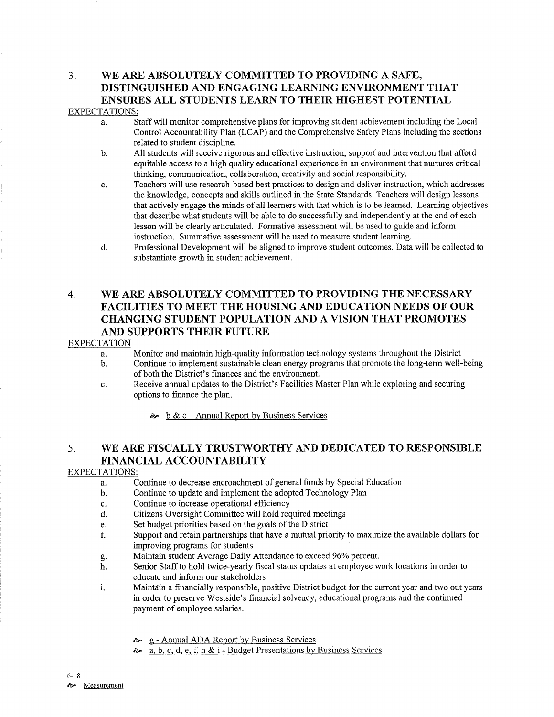# 3. WE ARE ABSOLUTELY COMMITTED TO PROVIDING A SAFE, DISTINGUISHED AND ENGAGING LEARNING ENVIRONMENT THAT ENSURES ALL STUDENTS LEARN TO THEIR HIGHEST POTENTIAL

## EXPECTATIONS:

- a. Staff will monitor comprehensive plans for improving student achievement including the Local Control Accountability Plan (LCAP) and the Comprehensive Safety Plans including the sections related to student discipline.
- b. All students will receive rigorous and effective instruction, support and intervention that afford equitable access to a high quality educational experience in an environment that nurtures critical thinking, communication, collaboration, creativity and social responsibility.
- c. Teachers will use research-based best practices to design and deliver instruction, which addresses the knowledge, concepts and skills outlined in the State Standards. Teachers will design lessons that actively engage the minds of all learners with that which is to be learned. Leaming objectives that describe what students will be able to do successfully and independently at the end of each lesson will be clearly articulated. Formative assessment will be used to guide and inform instruction. Summative assessment will be used to measure student learning.
- d. Professional Development will be aligned to improve student outcomes. Data will be collected to substantiate growth in student achievement.

# 4. WE ARE ABSOLUTELY COMMITTED TO PROVIDING THE NECESSARY FACILITIES TO MEET THE HOUSING AND EDUCATION NEEDS OF OUR CHANGING STUDENT POPULATION AND A VISION THAT PROMOTES AND SUPPORTS THEIR FUTURE

### **EXPECTATION**

- 
- a. Monitor and maintain high-quality infomation technology systems throughout the District b. Continue to implement sustainable clean energy programs that promote the long-term well-being of both the District's finances and the environment.
- c. Receive annual updates to the District's Facilities Master Plan while exploring and securing options to finance the plan.

 $\approx$  b & c – Annual Report by Business Services

# 5. WE ARE FISCALLY TRUSTWORTHY AND DEDICATED TO RESPONSIBLE FINANCIAL ACCOUNTABILITY

### EXPECTATIONS:

- a. Continue to decrease encroachment of general funds by Special Education b. Continue to update and implement the adopted Technology Plan
- 
- c. Continue to increase operational efficiency
- d. Citizens Oversight Committee will hold required meetings<br>e. Set budget priorities based on the goals of the District
- 
- e. Set budget priorities based on the goals of the District interstand priority to maximize the available dollars for f. Support and retain partnerships that have a mutual priority to maximize the available dollars for improving programs for students<br>Maintain student Average Daily Attendance to exceed 96% percent.
- 
- g. Maintain student Average Daily Attendance to exceed 96% percent.<br>h. Senior Staff to hold twice-yearly fiscal status updates at employee work locations in order to educate and inform our stakeholders
- i. Maintain a financially responsible, positive District budget for the current year and two out years in order to preserve Westside's financial solvency, educational programs and the continued payment of employee salaries.
	- ôp g Annual ADA Report by Business Services
	- **a.** b, c, d, e, f, h & i Budget Presentations by Business Services